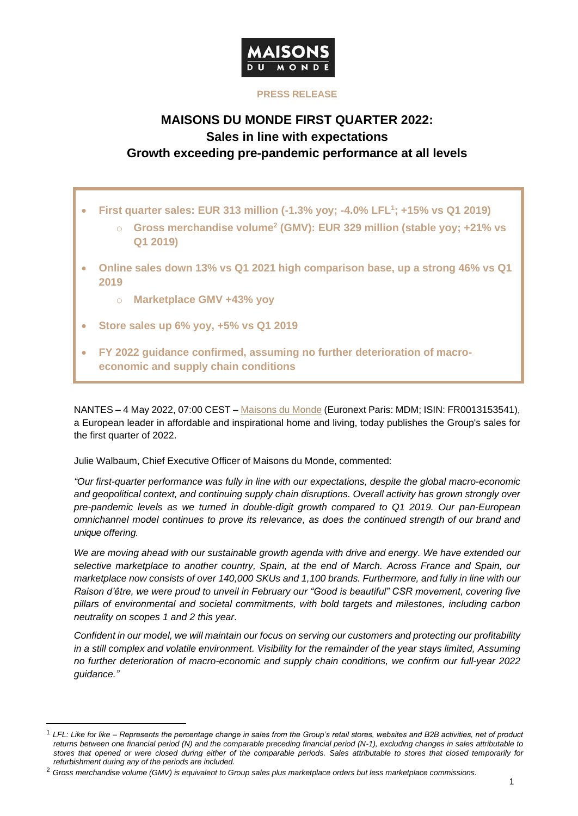

## **PRESS RELEASE**

# **MAISONS DU MONDE FIRST QUARTER 2022: Sales in line with expectations Growth exceeding pre-pandemic performance at all levels**

- **First quarter sales: EUR 313 million (-1.3% yoy; -4.0% LFL<sup>1</sup> ; +15% vs Q1 2019)**
	- o **Gross merchandise volume<sup>2</sup> (GMV): EUR 329 million (stable yoy; +21% vs Q1 2019)**
- **Online sales down 13% vs Q1 2021 high comparison base, up a strong 46% vs Q1 2019**
	- o **Marketplace GMV +43% yoy**
- **Store sales up 6% yoy, +5% vs Q1 2019**
- **FY 2022 guidance confirmed, assuming no further deterioration of macroeconomic and supply chain conditions**

NANTES – 4 May 2022, 07:00 CEST – [Maisons du Monde](https://corporate.maisonsdumonde.com/en) (Euronext Paris: MDM; ISIN: FR0013153541), a European leader in affordable and inspirational home and living, today publishes the Group's sales for the first quarter of 2022.

Julie Walbaum, Chief Executive Officer of Maisons du Monde, commented:

*"Our first-quarter performance was fully in line with our expectations, despite the global macro-economic and geopolitical context, and continuing supply chain disruptions. Overall activity has grown strongly over pre-pandemic levels as we turned in double-digit growth compared to Q1 2019. Our pan-European omnichannel model continues to prove its relevance, as does the continued strength of our brand and unique offering.* 

*We are moving ahead with our sustainable growth agenda with drive and energy. We have extended our selective marketplace to another country, Spain, at the end of March. Across France and Spain, our marketplace now consists of over 140,000 SKUs and 1,100 brands. Furthermore, and fully in line with our Raison d'être, we were proud to unveil in February our "Good is beautiful" CSR movement, covering five pillars of environmental and societal commitments, with bold targets and milestones, including carbon neutrality on scopes 1 and 2 this year.*

*Confident in our model, we will maintain our focus on serving our customers and protecting our profitability in a still complex and volatile environment. Visibility for the remainder of the year stays limited, Assuming no further deterioration of macro-economic and supply chain conditions, we confirm our full-year 2022 guidance."*

<sup>1</sup> *LFL: Like for like – Represents the percentage change in sales from the Group's retail stores, websites and B2B activities, net of product returns between one financial period (N) and the comparable preceding financial period (N-1), excluding changes in sales attributable to stores that opened or were closed during either of the comparable periods. Sales attributable to stores that closed temporarily for refurbishment during any of the periods are included.*

<sup>2</sup> *Gross merchandise volume (GMV) is equivalent to Group sales plus marketplace orders but less marketplace commissions.*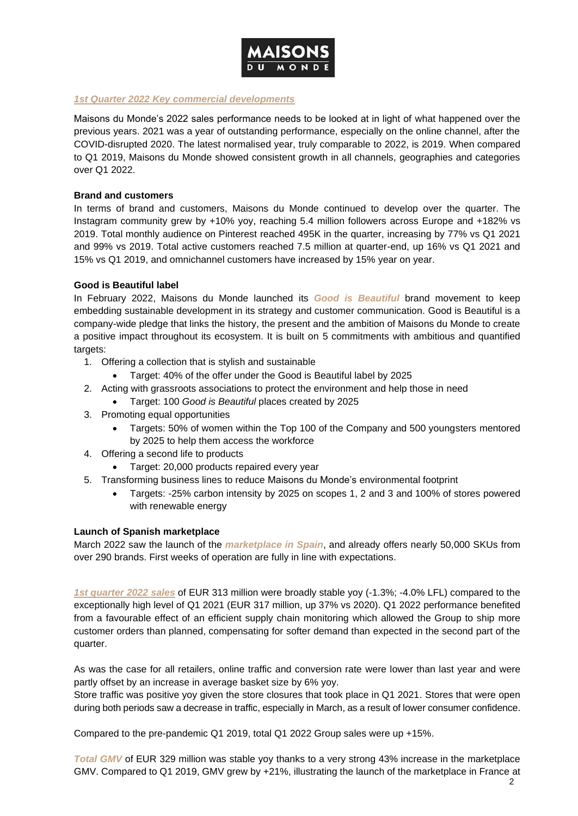

## *1st Quarter 2022 Key commercial developments*

Maisons du Monde's 2022 sales performance needs to be looked at in light of what happened over the previous years. 2021 was a year of outstanding performance, especially on the online channel, after the COVID-disrupted 2020. The latest normalised year, truly comparable to 2022, is 2019. When compared to Q1 2019, Maisons du Monde showed consistent growth in all channels, geographies and categories over Q1 2022.

#### **Brand and customers**

In terms of brand and customers, Maisons du Monde continued to develop over the quarter. The Instagram community grew by +10% yoy, reaching 5.4 million followers across Europe and +182% vs 2019. Total monthly audience on Pinterest reached 495K in the quarter, increasing by 77% vs Q1 2021 and 99% vs 2019. Total active customers reached 7.5 million at quarter-end, up 16% vs Q1 2021 and 15% vs Q1 2019, and omnichannel customers have increased by 15% year on year.

## **Good is Beautiful label**

In February 2022, Maisons du Monde launched its *Good is Beautiful* brand movement to keep embedding sustainable development in its strategy and customer communication. Good is Beautiful is a company-wide pledge that links the history, the present and the ambition of Maisons du Monde to create a positive impact throughout its ecosystem. It is built on 5 commitments with ambitious and quantified targets:

- 1. Offering a collection that is stylish and sustainable
	- Target: 40% of the offer under the Good is Beautiful label by 2025
- 2. Acting with grassroots associations to protect the environment and help those in need
	- Target: 100 *Good is Beautiful* places created by 2025
- 3. Promoting equal opportunities
	- Targets: 50% of women within the Top 100 of the Company and 500 youngsters mentored by 2025 to help them access the workforce
- 4. Offering a second life to products
	- Target: 20,000 products repaired every year
- 5. Transforming business lines to reduce Maisons du Monde's environmental footprint
	- Targets: -25% carbon intensity by 2025 on scopes 1, 2 and 3 and 100% of stores powered with renewable energy

## **Launch of Spanish marketplace**

March 2022 saw the launch of the *marketplace in Spain*, and already offers nearly 50,000 SKUs from over 290 brands. First weeks of operation are fully in line with expectations.

*1st quarter 2022 sales* of EUR 313 million were broadly stable yoy (-1.3%; -4.0% LFL) compared to the exceptionally high level of Q1 2021 (EUR 317 million, up 37% vs 2020). Q1 2022 performance benefited from a favourable effect of an efficient supply chain monitoring which allowed the Group to ship more customer orders than planned, compensating for softer demand than expected in the second part of the quarter.

As was the case for all retailers, online traffic and conversion rate were lower than last year and were partly offset by an increase in average basket size by 6% yoy.

Store traffic was positive yoy given the store closures that took place in Q1 2021. Stores that were open during both periods saw a decrease in traffic, especially in March, as a result of lower consumer confidence.

Compared to the pre-pandemic Q1 2019, total Q1 2022 Group sales were up +15%.

*Total GMV* of EUR 329 million was stable yoy thanks to a very strong 43% increase in the marketplace GMV. Compared to Q1 2019, GMV grew by +21%, illustrating the launch of the marketplace in France at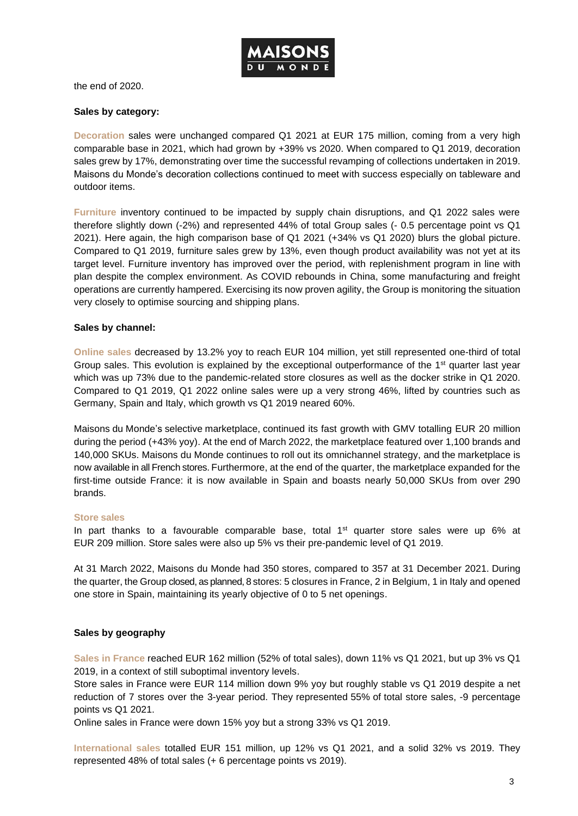

the end of 2020.

#### **Sales by category:**

**Decoration** sales were unchanged compared Q1 2021 at EUR 175 million, coming from a very high comparable base in 2021, which had grown by +39% vs 2020. When compared to Q1 2019, decoration sales grew by 17%, demonstrating over time the successful revamping of collections undertaken in 2019. Maisons du Monde's decoration collections continued to meet with success especially on tableware and outdoor items.

**Furniture** inventory continued to be impacted by supply chain disruptions, and Q1 2022 sales were therefore slightly down (-2%) and represented 44% of total Group sales (- 0.5 percentage point vs Q1 2021). Here again, the high comparison base of Q1 2021 (+34% vs Q1 2020) blurs the global picture. Compared to Q1 2019, furniture sales grew by 13%, even though product availability was not yet at its target level. Furniture inventory has improved over the period, with replenishment program in line with plan despite the complex environment. As COVID rebounds in China, some manufacturing and freight operations are currently hampered. Exercising its now proven agility, the Group is monitoring the situation very closely to optimise sourcing and shipping plans.

#### **Sales by channel:**

**Online sales** decreased by 13.2% yoy to reach EUR 104 million, yet still represented one-third of total Group sales. This evolution is explained by the exceptional outperformance of the 1<sup>st</sup> quarter last year which was up 73% due to the pandemic-related store closures as well as the docker strike in Q1 2020. Compared to Q1 2019, Q1 2022 online sales were up a very strong 46%, lifted by countries such as Germany, Spain and Italy, which growth vs Q1 2019 neared 60%.

Maisons du Monde's selective marketplace, continued its fast growth with GMV totalling EUR 20 million during the period (+43% yoy). At the end of March 2022, the marketplace featured over 1,100 brands and 140,000 SKUs. Maisons du Monde continues to roll out its omnichannel strategy, and the marketplace is now available in all French stores. Furthermore, at the end of the quarter, the marketplace expanded for the first-time outside France: it is now available in Spain and boasts nearly 50,000 SKUs from over 290 brands.

#### **Store sales**

In part thanks to a favourable comparable base, total  $1<sup>st</sup>$  quarter store sales were up 6% at EUR 209 million. Store sales were also up 5% vs their pre-pandemic level of Q1 2019.

At 31 March 2022, Maisons du Monde had 350 stores, compared to 357 at 31 December 2021. During the quarter, the Group closed, as planned, 8 stores: 5 closures in France, 2 in Belgium, 1 in Italy and opened one store in Spain, maintaining its yearly objective of 0 to 5 net openings.

## **Sales by geography**

**Sales in France** reached EUR 162 million (52% of total sales), down 11% vs Q1 2021, but up 3% vs Q1 2019, in a context of still suboptimal inventory levels.

Store sales in France were EUR 114 million down 9% yoy but roughly stable vs Q1 2019 despite a net reduction of 7 stores over the 3-year period. They represented 55% of total store sales, -9 percentage points vs Q1 2021.

Online sales in France were down 15% yoy but a strong 33% vs Q1 2019.

**International sales** totalled EUR 151 million, up 12% vs Q1 2021, and a solid 32% vs 2019. They represented 48% of total sales (+ 6 percentage points vs 2019).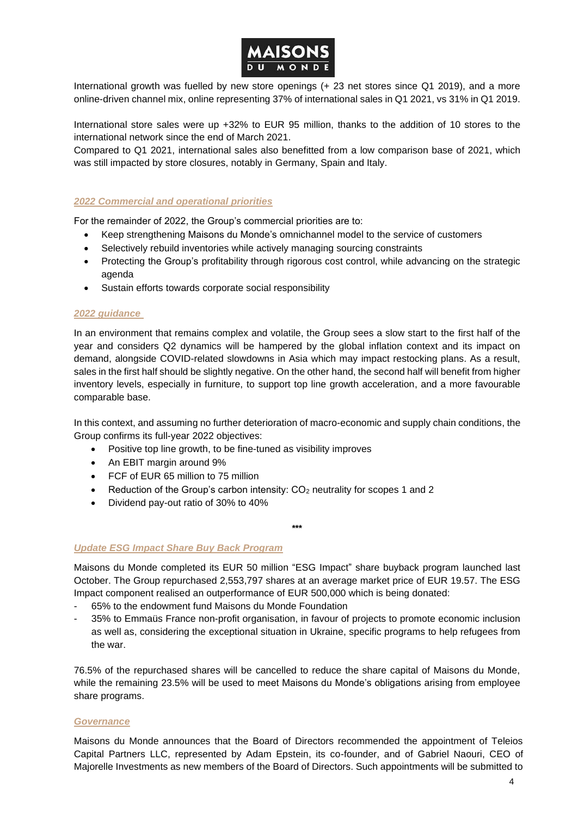

International growth was fuelled by new store openings (+ 23 net stores since Q1 2019), and a more online-driven channel mix, online representing 37% of international sales in Q1 2021, vs 31% in Q1 2019.

International store sales were up +32% to EUR 95 million, thanks to the addition of 10 stores to the international network since the end of March 2021.

Compared to Q1 2021, international sales also benefitted from a low comparison base of 2021, which was still impacted by store closures, notably in Germany, Spain and Italy.

## *2022 Commercial and operational priorities*

For the remainder of 2022, the Group's commercial priorities are to:

- Keep strengthening Maisons du Monde's omnichannel model to the service of customers
- Selectively rebuild inventories while actively managing sourcing constraints
- Protecting the Group's profitability through rigorous cost control, while advancing on the strategic agenda
- Sustain efforts towards corporate social responsibility

#### *2022 guidance*

In an environment that remains complex and volatile, the Group sees a slow start to the first half of the year and considers Q2 dynamics will be hampered by the global inflation context and its impact on demand, alongside COVID-related slowdowns in Asia which may impact restocking plans. As a result, sales in the first half should be slightly negative. On the other hand, the second half will benefit from higher inventory levels, especially in furniture, to support top line growth acceleration, and a more favourable comparable base.

In this context, and assuming no further deterioration of macro-economic and supply chain conditions, the Group confirms its full-year 2022 objectives:

- Positive top line growth, to be fine-tuned as visibility improves
- An EBIT margin around 9%
- FCF of EUR 65 million to 75 million
- Reduction of the Group's carbon intensity:  $CO<sub>2</sub>$  neutrality for scopes 1 and 2
- Dividend pay-out ratio of 30% to 40%

#### **\*\*\***

## *Update ESG Impact Share Buy Back Program*

Maisons du Monde completed its EUR 50 million "ESG Impact" share buyback program launched last October. The Group repurchased 2,553,797 shares at an average market price of EUR 19.57. The ESG Impact component realised an outperformance of EUR 500,000 which is being donated:

- 65% to the endowment fund Maisons du Monde Foundation
- 35% to Emmaüs France non-profit organisation, in favour of projects to promote economic inclusion as well as, considering the exceptional situation in Ukraine, specific programs to help refugees from the war.

76.5% of the repurchased shares will be cancelled to reduce the share capital of Maisons du Monde, while the remaining 23.5% will be used to meet Maisons du Monde's obligations arising from employee share programs.

#### *Governance*

Maisons du Monde announces that the Board of Directors recommended the appointment of Teleios Capital Partners LLC, represented by Adam Epstein, its co-founder, and of Gabriel Naouri, CEO of Majorelle Investments as new members of the Board of Directors. Such appointments will be submitted to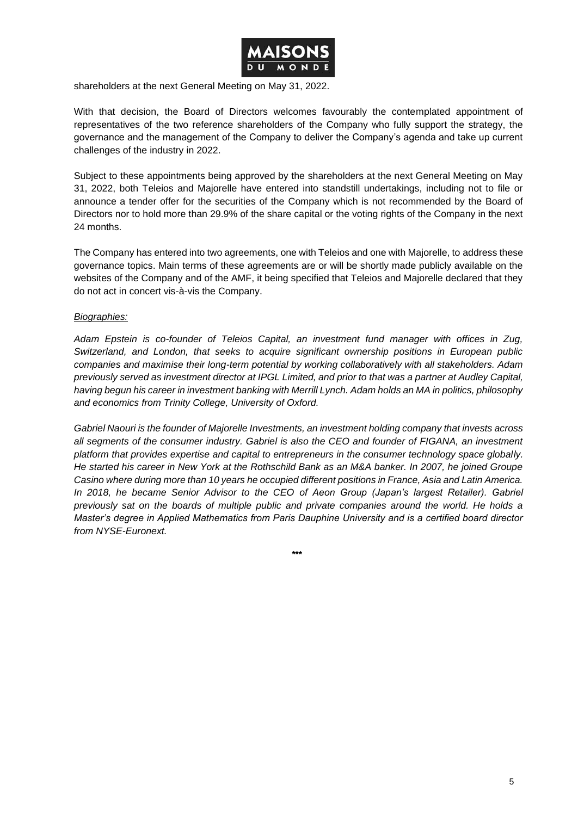

shareholders at the next General Meeting on May 31, 2022.

With that decision, the Board of Directors welcomes favourably the contemplated appointment of representatives of the two reference shareholders of the Company who fully support the strategy, the governance and the management of the Company to deliver the Company's agenda and take up current challenges of the industry in 2022.

Subject to these appointments being approved by the shareholders at the next General Meeting on May 31, 2022, both Teleios and Majorelle have entered into standstill undertakings, including not to file or announce a tender offer for the securities of the Company which is not recommended by the Board of Directors nor to hold more than 29.9% of the share capital or the voting rights of the Company in the next 24 months.

The Company has entered into two agreements, one with Teleios and one with Majorelle, to address these governance topics. Main terms of these agreements are or will be shortly made publicly available on the websites of the Company and of the AMF, it being specified that Teleios and Majorelle declared that they do not act in concert vis-à-vis the Company.

## *Biographies:*

*Adam Epstein is co-founder of Teleios Capital, an investment fund manager with offices in Zug, Switzerland, and London, that seeks to acquire significant ownership positions in European public companies and maximise their long-term potential by working collaboratively with all stakeholders. Adam previously served as investment director at IPGL Limited, and prior to that was a partner at Audley Capital, having begun his career in investment banking with Merrill Lynch. Adam holds an MA in politics, philosophy and economics from Trinity College, University of Oxford.* 

*Gabriel Naouri is the founder of Majorelle Investments, an investment holding company that invests across all segments of the consumer industry. Gabriel is also the CEO and founder of FIGANA, an investment platform that provides expertise and capital to entrepreneurs in the consumer technology space globally. He started his career in New York at the Rothschild Bank as an M&A banker. In 2007, he joined Groupe Casino where during more than 10 years he occupied different positions in France, Asia and Latin America. In 2018, he became Senior Advisor to the CEO of Aeon Group (Japan's largest Retailer). Gabriel previously sat on the boards of multiple public and private companies around the world. He holds a Master's degree in Applied Mathematics from Paris Dauphine University and is a certified board director from NYSE-Euronext.*

**\*\*\***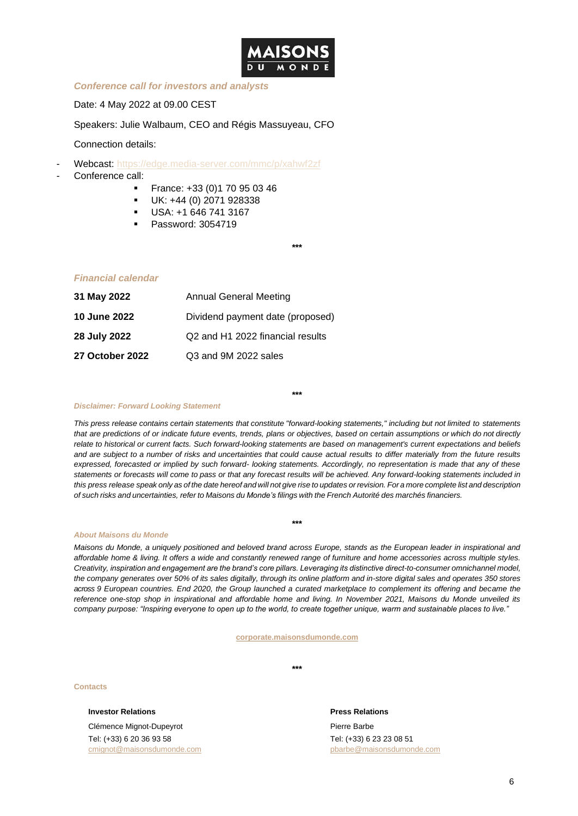

#### *Conference call for investors and analysts*

Date: 4 May 2022 at 09.00 CEST

Speakers: Julie Walbaum, CEO and Régis Massuyeau, CFO

Connection details:

- Webcast:<https://edge.media-server.com/mmc/p/xahwf2zf>
- Conference call:
	- France: +33 (0)1 70 95 03 46
	- UK: +44 (0) 2071 928338
	- USA: +1 646 741 3167
	- Password: 3054719

**\*\*\***

#### *Financial calendar*

| 31 May 2022            | <b>Annual General Meeting</b>    |  |  |  |
|------------------------|----------------------------------|--|--|--|
| <b>10 June 2022</b>    | Dividend payment date (proposed) |  |  |  |
| 28 July 2022           | Q2 and H1 2022 financial results |  |  |  |
| <b>27 October 2022</b> | Q3 and 9M 2022 sales             |  |  |  |

#### *Disclaimer: Forward Looking Statement*

This press release contains certain statements that constitute "forward-looking statements," including but not limited to statements *that are predictions of or indicate future events, trends, plans or objectives, based on certain assumptions or which do not directly* relate to historical or current facts. Such forward-looking statements are based on management's current expectations and beliefs *and are subject to a number of risks and uncertainties that could cause actual results to differ materially from the future results expressed, forecasted or implied by such forward- looking statements. Accordingly, no representation is made that any of these statements or forecasts will come to pass or that any forecast results will be achieved. Any forward-looking statements included in*  this press release speak only as of the date hereof and will not give rise to updates or revision. For a more complete list and description of such risks and uncertainties, refer to Maisons du Monde's filings with the French Autorité des marchés financiers.

**\*\*\***

#### *About Maisons du Monde*

*Maisons du Monde, a uniquely positioned and beloved brand across Europe, stands as the European leader in inspirational and affordable home & living. It offers a wide and constantly renewed range of furniture and home accessories across multiple styles. Creativity, inspiration and engagement are the brand's core pillars. Leveraging its distinctive direct-to-consumer omnichannel model, the company generates over 50% of its sales digitally, through its online platform and in-store digital sales and operates 350 stores across 9 European countries. End 2020, the Group launched a curated marketplace to complement its offering and became the reference one-stop shop in inspirational and affordable home and living. In November 2021, Maisons du Monde unveiled its company purpose: "Inspiring everyone to open up to the world, to create together unique, warm and sustainable places to live."*

**\*\*\***

**[corporate.maisonsdumonde.com](https://corporate.maisonsdumonde.com/en)**

**\*\*\***

**Contacts**

#### **Investor Relations** *Press Relations*

Clémence Mignot-Dupeyrot Tel: (+33) 6 20 36 93 58 [cmignot@maisonsdumonde.com](mailto:cmignot@maisonsdumonde.com) pbarbe@maisonsdumonde.com

Pierre Barbe Tel: (+33) 6 23 23 08 51